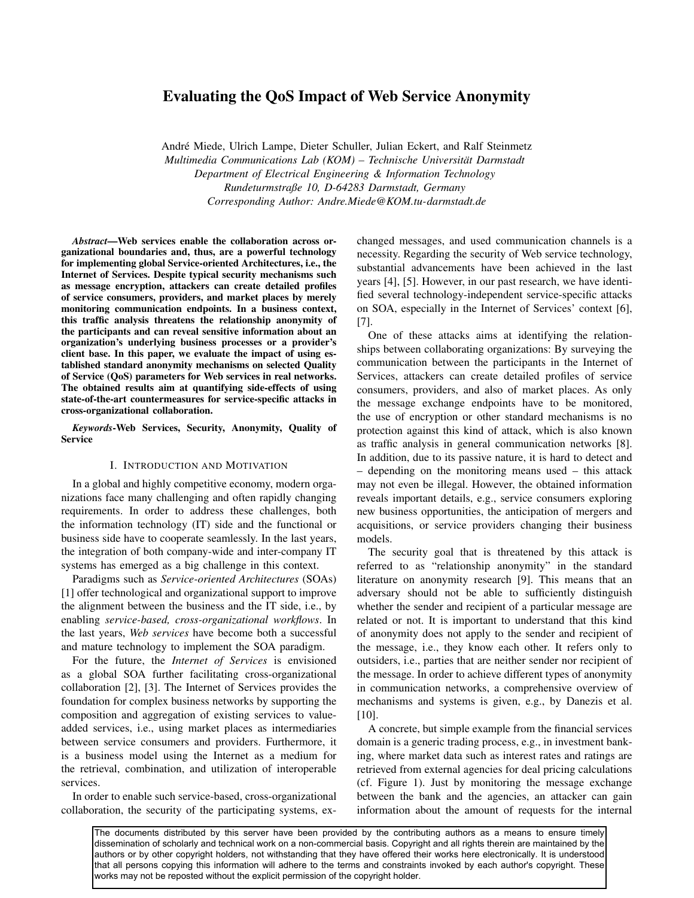# Evaluating the QoS Impact of Web Service Anonymity

Andre Miede, Ulrich Lampe, Dieter Schuller, Julian Eckert, and Ralf Steinmetz ´ *Multimedia Communications Lab (KOM) – Technische Universitat Darmstadt ¨ Department of Electrical Engineering & Information Technology Rundeturmstraße 10, D-64283 Darmstadt, Germany Corresponding Author: Andre.Miede@KOM.tu-darmstadt.de*

*Abstract*—Web services enable the collaboration across organizational boundaries and, thus, are a powerful technology for implementing global Service-oriented Architectures, i.e., the Internet of Services. Despite typical security mechanisms such as message encryption, attackers can create detailed profiles of service consumers, providers, and market places by merely monitoring communication endpoints. In a business context, this traffic analysis threatens the relationship anonymity of the participants and can reveal sensitive information about an organization's underlying business processes or a provider's client base. In this paper, we evaluate the impact of using established standard anonymity mechanisms on selected Quality of Service (QoS) parameters for Web services in real networks. The obtained results aim at quantifying side-effects of using state-of-the-art countermeasures for service-specific attacks in cross-organizational collaboration.

*Keywords*-Web Services, Security, Anonymity, Quality of Service

# I. INTRODUCTION AND MOTIVATION

In a global and highly competitive economy, modern organizations face many challenging and often rapidly changing requirements. In order to address these challenges, both the information technology (IT) side and the functional or business side have to cooperate seamlessly. In the last years, the integration of both company-wide and inter-company IT systems has emerged as a big challenge in this context.

Paradigms such as *Service-oriented Architectures* (SOAs) [1] offer technological and organizational support to improve the alignment between the business and the IT side, i.e., by enabling *service-based, cross-organizational workflows*. In the last years, *Web services* have become both a successful and mature technology to implement the SOA paradigm.

For the future, the *Internet of Services* is envisioned as a global SOA further facilitating cross-organizational collaboration [2], [3]. The Internet of Services provides the foundation for complex business networks by supporting the composition and aggregation of existing services to valueadded services, i.e., using market places as intermediaries between service consumers and providers. Furthermore, it is a business model using the Internet as a medium for the retrieval, combination, and utilization of interoperable services.

In order to enable such service-based, cross-organizational collaboration, the security of the participating systems, exchanged messages, and used communication channels is a necessity. Regarding the security of Web service technology, substantial advancements have been achieved in the last years [4], [5]. However, in our past research, we have identified several technology-independent service-specific attacks on SOA, especially in the Internet of Services' context [6], [7].

One of these attacks aims at identifying the relationships between collaborating organizations: By surveying the communication between the participants in the Internet of Services, attackers can create detailed profiles of service consumers, providers, and also of market places. As only the message exchange endpoints have to be monitored, the use of encryption or other standard mechanisms is no protection against this kind of attack, which is also known as traffic analysis in general communication networks [8]. In addition, due to its passive nature, it is hard to detect and – depending on the monitoring means used – this attack may not even be illegal. However, the obtained information reveals important details, e.g., service consumers exploring new business opportunities, the anticipation of mergers and acquisitions, or service providers changing their business models.

The security goal that is threatened by this attack is referred to as "relationship anonymity" in the standard literature on anonymity research [9]. This means that an adversary should not be able to sufficiently distinguish whether the sender and recipient of a particular message are related or not. It is important to understand that this kind of anonymity does not apply to the sender and recipient of the message, i.e., they know each other. It refers only to outsiders, i.e., parties that are neither sender nor recipient of the message. In order to achieve different types of anonymity in communication networks, a comprehensive overview of mechanisms and systems is given, e.g., by Danezis et al. [10].

A concrete, but simple example from the financial services domain is a generic trading process, e.g., in investment banking, where market data such as interest rates and ratings are retrieved from external agencies for deal pricing calculations (cf. Figure 1). Just by monitoring the message exchange between the bank and the agencies, an attacker can gain information about the amount of requests for the internal

The documents distributed by this server have been provided by the contributing authors as a means to ensure timely dissemination of scholarly and technical work on a non-commercial basis. Copyright and all rights therein are maintained by the authors or by other copyright holders, not withstanding that they have offered their works here electronically. It is understood that all persons copying this information will adhere to the terms and constraints invoked by each author's copyright. These works may not be reposted without the explicit permission of the copyright holder.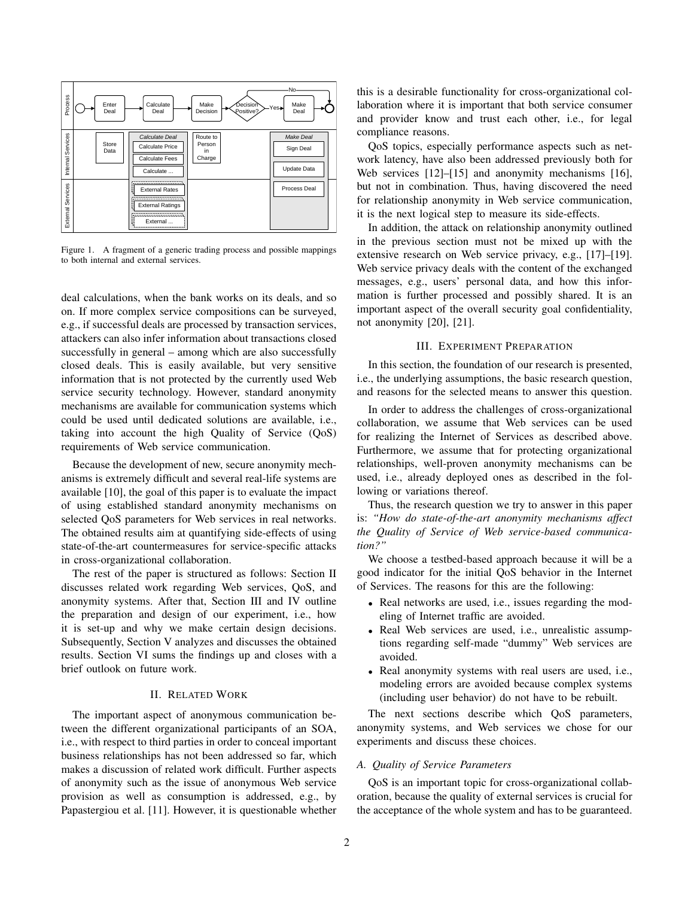

Figure 1. A fragment of a generic trading process and possible mappings to both internal and external services.

deal calculations, when the bank works on its deals, and so on. If more complex service compositions can be surveyed, e.g., if successful deals are processed by transaction services, attackers can also infer information about transactions closed successfully in general – among which are also successfully closed deals. This is easily available, but very sensitive information that is not protected by the currently used Web service security technology. However, standard anonymity mechanisms are available for communication systems which could be used until dedicated solutions are available, i.e., taking into account the high Quality of Service (QoS) requirements of Web service communication.

Because the development of new, secure anonymity mechanisms is extremely difficult and several real-life systems are available [10], the goal of this paper is to evaluate the impact of using established standard anonymity mechanisms on selected QoS parameters for Web services in real networks. The obtained results aim at quantifying side-effects of using state-of-the-art countermeasures for service-specific attacks in cross-organizational collaboration.

The rest of the paper is structured as follows: Section II discusses related work regarding Web services, QoS, and anonymity systems. After that, Section III and IV outline the preparation and design of our experiment, i.e., how it is set-up and why we make certain design decisions. Subsequently, Section V analyzes and discusses the obtained results. Section VI sums the findings up and closes with a brief outlook on future work.

# II. RELATED WORK

The important aspect of anonymous communication between the different organizational participants of an SOA, i.e., with respect to third parties in order to conceal important business relationships has not been addressed so far, which makes a discussion of related work difficult. Further aspects of anonymity such as the issue of anonymous Web service provision as well as consumption is addressed, e.g., by Papastergiou et al. [11]. However, it is questionable whether this is a desirable functionality for cross-organizational collaboration where it is important that both service consumer and provider know and trust each other, i.e., for legal compliance reasons.

QoS topics, especially performance aspects such as network latency, have also been addressed previously both for Web services [12]–[15] and anonymity mechanisms [16], but not in combination. Thus, having discovered the need for relationship anonymity in Web service communication, it is the next logical step to measure its side-effects.

In addition, the attack on relationship anonymity outlined in the previous section must not be mixed up with the extensive research on Web service privacy, e.g., [17]–[19]. Web service privacy deals with the content of the exchanged messages, e.g., users' personal data, and how this information is further processed and possibly shared. It is an important aspect of the overall security goal confidentiality, not anonymity [20], [21].

# III. EXPERIMENT PREPARATION

In this section, the foundation of our research is presented, i.e., the underlying assumptions, the basic research question, and reasons for the selected means to answer this question.

In order to address the challenges of cross-organizational collaboration, we assume that Web services can be used for realizing the Internet of Services as described above. Furthermore, we assume that for protecting organizational relationships, well-proven anonymity mechanisms can be used, i.e., already deployed ones as described in the following or variations thereof.

Thus, the research question we try to answer in this paper is: *"How do state-of-the-art anonymity mechanisms affect the Quality of Service of Web service-based communication?"*

We choose a testbed-based approach because it will be a good indicator for the initial QoS behavior in the Internet of Services. The reasons for this are the following:

- Real networks are used, i.e., issues regarding the modeling of Internet traffic are avoided.
- Real Web services are used, i.e., unrealistic assumptions regarding self-made "dummy" Web services are avoided.
- Real anonymity systems with real users are used, i.e., modeling errors are avoided because complex systems (including user behavior) do not have to be rebuilt.

The next sections describe which QoS parameters, anonymity systems, and Web services we chose for our experiments and discuss these choices.

# *A. Quality of Service Parameters*

QoS is an important topic for cross-organizational collaboration, because the quality of external services is crucial for the acceptance of the whole system and has to be guaranteed.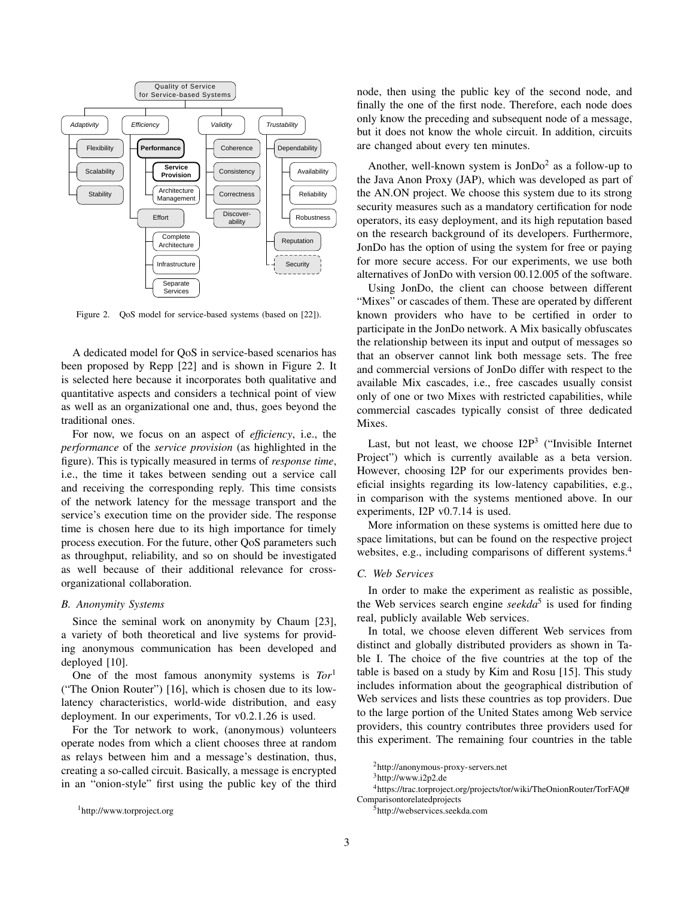

Figure 2. QoS model for service-based systems (based on [22]).

A dedicated model for QoS in service-based scenarios has been proposed by Repp [22] and is shown in Figure 2. It is selected here because it incorporates both qualitative and quantitative aspects and considers a technical point of view as well as an organizational one and, thus, goes beyond the traditional ones.

For now, we focus on an aspect of *efficiency*, i.e., the *performance* of the *service provision* (as highlighted in the figure). This is typically measured in terms of *response time*, i.e., the time it takes between sending out a service call and receiving the corresponding reply. This time consists of the network latency for the message transport and the service's execution time on the provider side. The response time is chosen here due to its high importance for timely process execution. For the future, other QoS parameters such as throughput, reliability, and so on should be investigated as well because of their additional relevance for crossorganizational collaboration.

# *B. Anonymity Systems*

Since the seminal work on anonymity by Chaum [23], a variety of both theoretical and live systems for providing anonymous communication has been developed and deployed [10].

One of the most famous anonymity systems is *Tor*<sup>1</sup> ("The Onion Router") [16], which is chosen due to its lowlatency characteristics, world-wide distribution, and easy deployment. In our experiments, Tor v0.2.1.26 is used.

For the Tor network to work, (anonymous) volunteers operate nodes from which a client chooses three at random as relays between him and a message's destination, thus, creating a so-called circuit. Basically, a message is encrypted in an "onion-style" first using the public key of the third node, then using the public key of the second node, and finally the one of the first node. Therefore, each node does only know the preceding and subsequent node of a message, but it does not know the whole circuit. In addition, circuits are changed about every ten minutes.

Another, well-known system is  $\text{JonDo}^2$  as a follow-up to the Java Anon Proxy (JAP), which was developed as part of the AN.ON project. We choose this system due to its strong security measures such as a mandatory certification for node operators, its easy deployment, and its high reputation based on the research background of its developers. Furthermore, JonDo has the option of using the system for free or paying for more secure access. For our experiments, we use both alternatives of JonDo with version 00.12.005 of the software.

Using JonDo, the client can choose between different known providers who have to be certified in order to participate in the JonDo network. A Mix basically obfuscates that an observer cannot link both message sets. The free "Mixes" or cascades of them. These are operated by different the relationship between its input and output of messages so and commercial versions of JonDo differ with respect to the available Mix cascades, i.e., free cascades usually consist only of one or two Mixes with restricted capabilities, while commercial cascades typically consist of three dedicated Mixes.

Last, but not least, we choose  $I2P<sup>3</sup>$  ("Invisible Internet Project") which is currently available as a beta version. However, choosing I2P for our experiments provides beneficial insights regarding its low-latency capabilities, e.g., in comparison with the systems mentioned above. In our experiments, I2P v0.7.14 is used.

More information on these systems is omitted here due to space limitations, but can be found on the respective project websites, e.g., including comparisons of different systems.<sup>4</sup>

## *C. Web Services*

In order to make the experiment as realistic as possible, the Web services search engine *seekda*<sup>5</sup> is used for finding real, publicly available Web services.

In total, we choose eleven different Web services from distinct and globally distributed providers as shown in Table I. The choice of the five countries at the top of the table is based on a study by Kim and Rosu [15]. This study includes information about the geographical distribution of Web services and lists these countries as top providers. Due to the large portion of the United States among Web service providers, this country contributes three providers used for this experiment. The remaining four countries in the table

<sup>4</sup>https://trac.torproject.org/projects/tor/wiki/TheOnionRouter/TorFAQ# Comparisontorelatedprojects

<sup>5</sup>http://webservices.seekda.com

<sup>1</sup>http://www.torproject.org

<sup>2</sup>http://anonymous-proxy-servers.net

<sup>3</sup>http://www.i2p2.de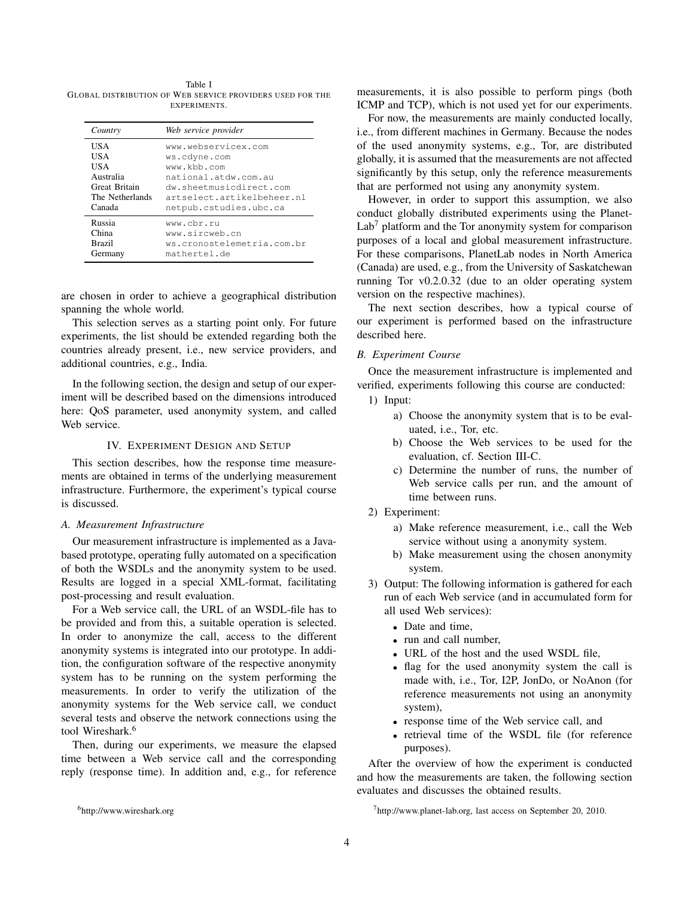Table I GLOBAL DISTRIBUTION OF WEB SERVICE PROVIDERS USED FOR THE EXPERIMENTS.

| Country         | Web service provider       |
|-----------------|----------------------------|
| USA             | www.webservicex.com        |
| USA             | ws.cdyne.com               |
| USA             | www.kbb.com                |
| Australia       | national.atdw.com.au       |
| Great Britain   | dw.sheetmusicdirect.com    |
| The Netherlands | artselect.artikelbeheer.nl |
| Canada          | netpub.cstudies.ubc.ca     |
| Russia          | www.cbr.ru                 |
| China           | www.sircweb.cn             |
| <b>Brazil</b>   | ws.cronostelemetria.com.br |
| Germany         | mathertel.de               |

are chosen in order to achieve a geographical distribution spanning the whole world.

This selection serves as a starting point only. For future experiments, the list should be extended regarding both the countries already present, i.e., new service providers, and additional countries, e.g., India.

In the following section, the design and setup of our experiment will be described based on the dimensions introduced here: QoS parameter, used anonymity system, and called Web service.

# IV. EXPERIMENT DESIGN AND SETUP

This section describes, how the response time measurements are obtained in terms of the underlying measurement infrastructure. Furthermore, the experiment's typical course is discussed.

#### *A. Measurement Infrastructure*

Our measurement infrastructure is implemented as a Javabased prototype, operating fully automated on a specification of both the WSDLs and the anonymity system to be used. Results are logged in a special XML-format, facilitating post-processing and result evaluation.

For a Web service call, the URL of an WSDL-file has to be provided and from this, a suitable operation is selected. In order to anonymize the call, access to the different anonymity systems is integrated into our prototype. In addition, the configuration software of the respective anonymity system has to be running on the system performing the measurements. In order to verify the utilization of the anonymity systems for the Web service call, we conduct several tests and observe the network connections using the tool Wireshark.<sup>6</sup>

Then, during our experiments, we measure the elapsed time between a Web service call and the corresponding reply (response time). In addition and, e.g., for reference measurements, it is also possible to perform pings (both ICMP and TCP), which is not used yet for our experiments.

For now, the measurements are mainly conducted locally, i.e., from different machines in Germany. Because the nodes of the used anonymity systems, e.g., Tor, are distributed globally, it is assumed that the measurements are not affected significantly by this setup, only the reference measurements that are performed not using any anonymity system.

However, in order to support this assumption, we also conduct globally distributed experiments using the Planet- $Lab<sup>7</sup>$  platform and the Tor anonymity system for comparison purposes of a local and global measurement infrastructure. For these comparisons, PlanetLab nodes in North America (Canada) are used, e.g., from the University of Saskatchewan running Tor v0.2.0.32 (due to an older operating system version on the respective machines).

The next section describes, how a typical course of our experiment is performed based on the infrastructure described here.

# *B. Experiment Course*

Once the measurement infrastructure is implemented and verified, experiments following this course are conducted:

- 1) Input:
	- a) Choose the anonymity system that is to be evaluated, i.e., Tor, etc.
	- b) Choose the Web services to be used for the evaluation, cf. Section III-C.
	- c) Determine the number of runs, the number of Web service calls per run, and the amount of time between runs.
- 2) Experiment:
	- a) Make reference measurement, i.e., call the Web service without using a anonymity system.
	- b) Make measurement using the chosen anonymity system.
- 3) Output: The following information is gathered for each run of each Web service (and in accumulated form for all used Web services):
	- Date and time.
	- run and call number,
	- URL of the host and the used WSDL file,
	- flag for the used anonymity system the call is made with, i.e., Tor, I2P, JonDo, or NoAnon (for reference measurements not using an anonymity system),
	- response time of the Web service call, and
	- retrieval time of the WSDL file (for reference purposes).

After the overview of how the experiment is conducted and how the measurements are taken, the following section evaluates and discusses the obtained results.

<sup>6</sup>http://www.wireshark.org

<sup>7</sup>http://www.planet-lab.org, last access on September 20, 2010.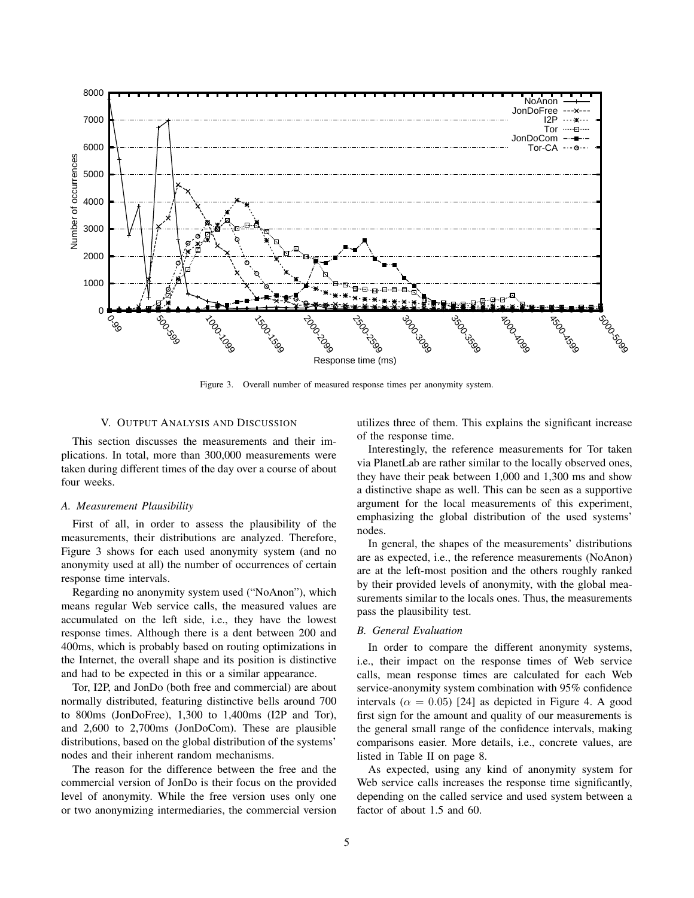

Figure 3. Overall number of measured response times per anonymity system.

# V. OUTPUT ANALYSIS AND DISCUSSION

This section discusses the measurements and their implications. In total, more than 300,000 measurements were taken during different times of the day over a course of about four weeks.

#### *A. Measurement Plausibility*

First of all, in order to assess the plausibility of the measurements, their distributions are analyzed. Therefore, Figure 3 shows for each used anonymity system (and no anonymity used at all) the number of occurrences of certain response time intervals.

Regarding no anonymity system used ("NoAnon"), which means regular Web service calls, the measured values are accumulated on the left side, i.e., they have the lowest response times. Although there is a dent between 200 and 400ms, which is probably based on routing optimizations in the Internet, the overall shape and its position is distinctive and had to be expected in this or a similar appearance.

Tor, I2P, and JonDo (both free and commercial) are about normally distributed, featuring distinctive bells around 700 to 800ms (JonDoFree), 1,300 to 1,400ms (I2P and Tor), and 2,600 to 2,700ms (JonDoCom). These are plausible distributions, based on the global distribution of the systems' nodes and their inherent random mechanisms.

The reason for the difference between the free and the commercial version of JonDo is their focus on the provided level of anonymity. While the free version uses only one or two anonymizing intermediaries, the commercial version utilizes three of them. This explains the significant increase of the response time.

Interestingly, the reference measurements for Tor taken via PlanetLab are rather similar to the locally observed ones, they have their peak between 1,000 and 1,300 ms and show a distinctive shape as well. This can be seen as a supportive argument for the local measurements of this experiment, emphasizing the global distribution of the used systems' nodes.

In general, the shapes of the measurements' distributions are as expected, i.e., the reference measurements (NoAnon) are at the left-most position and the others roughly ranked by their provided levels of anonymity, with the global measurements similar to the locals ones. Thus, the measurements pass the plausibility test.

#### *B. General Evaluation*

In order to compare the different anonymity systems, i.e., their impact on the response times of Web service calls, mean response times are calculated for each Web service-anonymity system combination with 95% confidence intervals ( $\alpha = 0.05$ ) [24] as depicted in Figure 4. A good first sign for the amount and quality of our measurements is the general small range of the confidence intervals, making comparisons easier. More details, i.e., concrete values, are listed in Table II on page 8.

As expected, using any kind of anonymity system for Web service calls increases the response time significantly, depending on the called service and used system between a factor of about 1.5 and 60.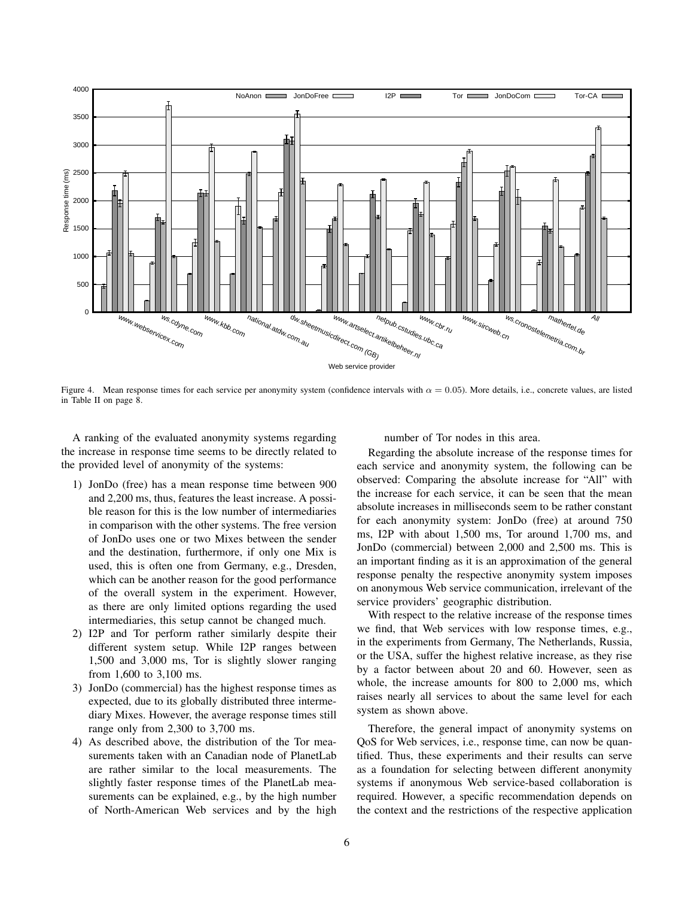

Figure 4. Mean response times for each service per anonymity system (confidence intervals with  $\alpha = 0.05$ ). More details, i.e., concrete values, are listed in Table II on page 8.

A ranking of the evaluated anonymity systems regarding the increase in response time seems to be directly related to the provided level of anonymity of the systems:

- 1) JonDo (free) has a mean response time between 900 and 2,200 ms, thus, features the least increase. A possible reason for this is the low number of intermediaries in comparison with the other systems. The free version of JonDo uses one or two Mixes between the sender and the destination, furthermore, if only one Mix is used, this is often one from Germany, e.g., Dresden, which can be another reason for the good performance of the overall system in the experiment. However, as there are only limited options regarding the used intermediaries, this setup cannot be changed much.
- 2) I2P and Tor perform rather similarly despite their different system setup. While I2P ranges between 1,500 and 3,000 ms, Tor is slightly slower ranging from 1,600 to 3,100 ms.
- 3) JonDo (commercial) has the highest response times as expected, due to its globally distributed three intermediary Mixes. However, the average response times still range only from 2,300 to 3,700 ms.
- 4) As described above, the distribution of the Tor measurements taken with an Canadian node of PlanetLab are rather similar to the local measurements. The slightly faster response times of the PlanetLab measurements can be explained, e.g., by the high number of North-American Web services and by the high

number of Tor nodes in this area.

Regarding the absolute increase of the response times for each service and anonymity system, the following can be observed: Comparing the absolute increase for "All" with the increase for each service, it can be seen that the mean absolute increases in milliseconds seem to be rather constant for each anonymity system: JonDo (free) at around 750 ms, I2P with about 1,500 ms, Tor around 1,700 ms, and JonDo (commercial) between 2,000 and 2,500 ms. This is an important finding as it is an approximation of the general response penalty the respective anonymity system imposes on anonymous Web service communication, irrelevant of the service providers' geographic distribution.

With respect to the relative increase of the response times we find, that Web services with low response times, e.g., in the experiments from Germany, The Netherlands, Russia, or the USA, suffer the highest relative increase, as they rise by a factor between about 20 and 60. However, seen as whole, the increase amounts for 800 to 2,000 ms, which raises nearly all services to about the same level for each system as shown above.

Therefore, the general impact of anonymity systems on QoS for Web services, i.e., response time, can now be quantified. Thus, these experiments and their results can serve as a foundation for selecting between different anonymity systems if anonymous Web service-based collaboration is required. However, a specific recommendation depends on the context and the restrictions of the respective application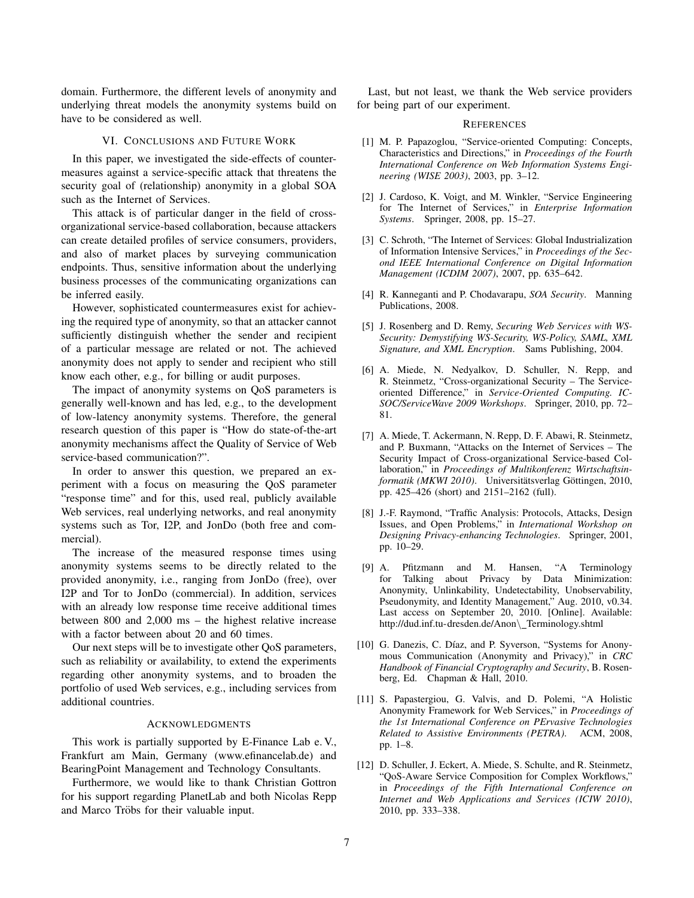domain. Furthermore, the different levels of anonymity and underlying threat models the anonymity systems build on have to be considered as well.

# VI. CONCLUSIONS AND FUTURE WORK

In this paper, we investigated the side-effects of countermeasures against a service-specific attack that threatens the security goal of (relationship) anonymity in a global SOA such as the Internet of Services.

This attack is of particular danger in the field of crossorganizational service-based collaboration, because attackers can create detailed profiles of service consumers, providers, and also of market places by surveying communication endpoints. Thus, sensitive information about the underlying business processes of the communicating organizations can be inferred easily.

However, sophisticated countermeasures exist for achieving the required type of anonymity, so that an attacker cannot sufficiently distinguish whether the sender and recipient of a particular message are related or not. The achieved anonymity does not apply to sender and recipient who still know each other, e.g., for billing or audit purposes.

The impact of anonymity systems on QoS parameters is generally well-known and has led, e.g., to the development of low-latency anonymity systems. Therefore, the general research question of this paper is "How do state-of-the-art anonymity mechanisms affect the Quality of Service of Web service-based communication?".

In order to answer this question, we prepared an experiment with a focus on measuring the QoS parameter "response time" and for this, used real, publicly available Web services, real underlying networks, and real anonymity systems such as Tor, I2P, and JonDo (both free and commercial).

The increase of the measured response times using anonymity systems seems to be directly related to the provided anonymity, i.e., ranging from JonDo (free), over I2P and Tor to JonDo (commercial). In addition, services with an already low response time receive additional times between 800 and 2,000 ms – the highest relative increase with a factor between about 20 and 60 times.

Our next steps will be to investigate other QoS parameters, such as reliability or availability, to extend the experiments regarding other anonymity systems, and to broaden the portfolio of used Web services, e.g., including services from additional countries.

# ACKNOWLEDGMENTS

This work is partially supported by E-Finance Lab e. V., Frankfurt am Main, Germany (www.efinancelab.de) and BearingPoint Management and Technology Consultants.

Furthermore, we would like to thank Christian Gottron for his support regarding PlanetLab and both Nicolas Repp and Marco Tröbs for their valuable input.

Last, but not least, we thank the Web service providers for being part of our experiment.

#### **REFERENCES**

- [1] M. P. Papazoglou, "Service-oriented Computing: Concepts, Characteristics and Directions," in *Proceedings of the Fourth International Conference on Web Information Systems Engineering (WISE 2003)*, 2003, pp. 3–12.
- [2] J. Cardoso, K. Voigt, and M. Winkler, "Service Engineering for The Internet of Services," in *Enterprise Information Systems*. Springer, 2008, pp. 15–27.
- [3] C. Schroth, "The Internet of Services: Global Industrialization of Information Intensive Services," in *Proceedings of the Second IEEE International Conference on Digital Information Management (ICDIM 2007)*, 2007, pp. 635–642.
- [4] R. Kanneganti and P. Chodavarapu, *SOA Security*. Manning Publications, 2008.
- [5] J. Rosenberg and D. Remy, *Securing Web Services with WS-Security: Demystifying WS-Security, WS-Policy, SAML, XML Signature, and XML Encryption*. Sams Publishing, 2004.
- [6] A. Miede, N. Nedyalkov, D. Schuller, N. Repp, and R. Steinmetz, "Cross-organizational Security – The Serviceoriented Difference," in *Service-Oriented Computing. IC-SOC/ServiceWave 2009 Workshops*. Springer, 2010, pp. 72– 81.
- [7] A. Miede, T. Ackermann, N. Repp, D. F. Abawi, R. Steinmetz, and P. Buxmann, "Attacks on the Internet of Services – The Security Impact of Cross-organizational Service-based Collaboration," in *Proceedings of Multikonferenz Wirtschaftsinformatik (MKWI 2010)*. Universitätsverlag Göttingen, 2010, pp. 425–426 (short) and 2151–2162 (full).
- [8] J.-F. Raymond, "Traffic Analysis: Protocols, Attacks, Design Issues, and Open Problems," in *International Workshop on Designing Privacy-enhancing Technologies*. Springer, 2001, pp. 10–29.
- [9] A. Pfitzmann and M. Hansen, "A Terminology for Talking about Privacy by Data Minimization: Anonymity, Unlinkability, Undetectability, Unobservability, Pseudonymity, and Identity Management," Aug. 2010, v0.34. Last access on September 20, 2010. [Online]. Available: http://dud.inf.tu-dresden.de/Anon\\_Terminology.shtml
- [10] G. Danezis, C. Díaz, and P. Syverson, "Systems for Anonymous Communication (Anonymity and Privacy)," in *CRC Handbook of Financial Cryptography and Security*, B. Rosenberg, Ed. Chapman & Hall, 2010.
- [11] S. Papastergiou, G. Valvis, and D. Polemi, "A Holistic Anonymity Framework for Web Services," in *Proceedings of the 1st International Conference on PErvasive Technologies Related to Assistive Environments (PETRA)*. ACM, 2008, pp. 1–8.
- [12] D. Schuller, J. Eckert, A. Miede, S. Schulte, and R. Steinmetz, "QoS-Aware Service Composition for Complex Workflows," in *Proceedings of the Fifth International Conference on Internet and Web Applications and Services (ICIW 2010)*, 2010, pp. 333–338.